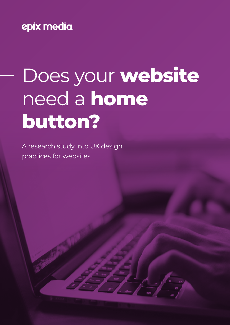# epix media.

# Does your **website**  need a **home button?**

A research study into UX design practices for websites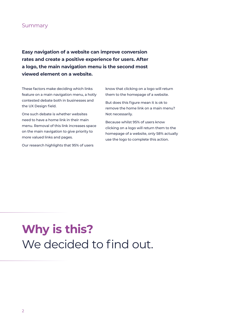#### Summary

**Easy navigation of a website can improve conversion rates and create a positive experience for users. After a logo, the main navigation menu is the second most viewed element on a website.**

These factors make deciding which links feature on a main navigation menu, a hotly contested debate both in businesses and the UX Design field.

One such debate is whether websites need to have a home link in their main menu. Removal of this link increases space on the main navigation to give priority to more valued links and pages.

Our research highlights that 95% of users

know that clicking on a logo will return them to the homepage of a website.

But does this figure mean it is ok to remove the home link on a main menu? Not necessarily.

Because whilst 95% of users know clicking on a logo will return them to the homepage of a website, only 58% actually use the logo to complete this action.

**Why is this?** We decided to find out.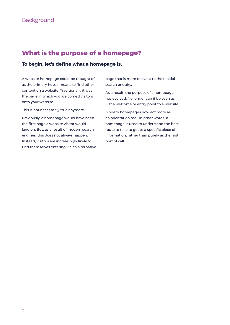#### **What is the purpose of a homepage?**

#### **To begin, let's define what a homepage is.**

A website homepage could be thought of as the primary hub, a means to find other content on a website. Traditionally it was the page in which you welcomed visitors onto your website.

This is not necessarily true anymore.

Previously, a homepage would have been the first page a website visitor would land on. But, as a result of modern search engines, this does not always happen. Instead, visitors are increasingly likely to find themselves entering via an alternative

page that is more relevant to their initial search enquiry.

As a result, the purpose of a homepage has evolved. No longer can it be seen as just a welcome or entry point to a website.

Modern homepages now act more as an orientation tool. In other words, a homepage is used to understand the best route to take to get to a specific piece of information, rather than purely as the first port of call.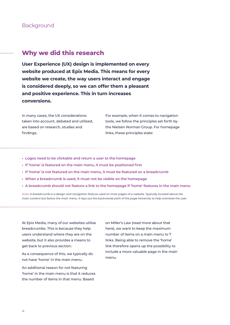#### **Background**

#### **Why we did this research**

**User Experience (UX) design is implemented on every website produced at Epix Media. This means for every website we create, the way users interact and engage is considered deeply, so we can offer them a pleasant and positive experience. This in turn increases conversions.**

In many cases, the UX considerations taken into account, debated and utilised, are based on research, studies and findings.

For example, when it comes to navigation tools, we follow the principles set forth by the Nielsen Norman Group. For homepage links, these principles state:

- **• Logos need to be clickable and return a user to the homepage**
- **• If 'home' is featured on the main menu, it must be positioned first**
- **• If 'home' is not featured on the main menu, it must be featured on a breadcrumb**
- **• When a breadcrumb is used, it must not be visible on the homepage**
- **• A breadcrumb should not feature a link to the homepage if 'home' features in the main menu**

*Note: A breadcrumb is a design and navigation feature used on inner pages of a website. Typically located above the main content but below the main menu. It lays out the backwards path of the page heirarchy to help orientate the user.*

At Epix Media, many of our websites utilise breadcrumbs. This is because they help users understand where they are on the website, but it also provides a means to get back to previous section.

As a consequence of this, we typically do not have 'home' in the main menu.

An additional reason for not featuring 'home' in the main menu is that it reduces the number of items in that menu. Based

on Miller's Law (read more about that here), we want to keep the maximum number of items on a main menu to 7 links. Being able to remove the 'home' link therefore opens up the possibility to include a more valuable page in the main menu.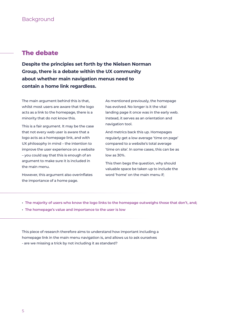#### **The debate**

**Despite the principles set forth by the Nielsen Norman Group, there is a debate within the UX community about whether main navigation menus need to contain a home link regardless.**

The main argument behind this is that, whilst most users are aware that the logo acts as a link to the homepage, there is a minority that do not know this.

This is a fair argument. It may be the case that not every web user is aware that a logo acts as a homepage link, and with UX philosophy in mind – the intention to improve the user experience on a website – you could say that this is enough of an argument to make sure it is included in the main menu.

However, this argument also overinflates the importance of a home page.

As mentioned previously, the homepage has evolved. No longer is it the vital landing page it once was in the early web. Instead, it serves as an orientation and navigation tool.

And metrics back this up. Homepages regularly get a low average 'time on page' compared to a website's total average 'time on site'. In some cases, this can be as low as 30%.

This then begs the question, why should valuable space be taken up to include the word 'home' on the main menu if;

- **• The majority of users who know the logo links to the homepage outweighs those that don't, and;**
- **• The homepage's value and importance to the user is low**

This piece of research therefore aims to understand how important including a homepage link in the main menu navigation is, and allows us to ask ourselves - are we missing a trick by not including it as standard?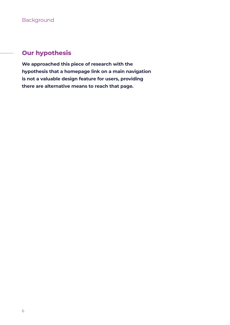#### **Our hypothesis**

**We approached this piece of research with the hypothesis that a homepage link on a main navigation is not a valuable design feature for users, providing there are alternative means to reach that page.**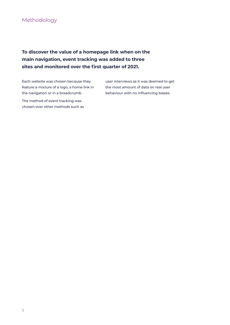#### Methodology

#### **To discover the value of a homepage link when on the main navigation, event tracking was added to three sites and monitored over the first quarter of 2021.**

Each website was chosen because they feature a mixture of a logo, a home link in the navigation or in a breadcrumb.

The method of event tracking was chosen over other methods such as user interviews as it was deemed to get the most amount of data on real user behaviour with no influencing biases.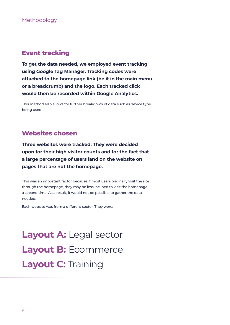#### **Event tracking**

**To get the data needed, we employed event tracking using Google Tag Manager. Tracking codes were attached to the homepage link (be it in the main menu or a breadcrumb) and the logo. Each tracked click would then be recorded within Google Analytics.**

This method also allows for further breakdown of data such as device type being used.

#### **Websites chosen**

**Three websites were tracked. They were decided upon for their high visitor counts and for the fact that a large percentage of users land on the website on pages that are not the homepage.**

This was an important factor because if most users originally visit the site through the homepage, they may be less inclined to visit the homepage a second time. As a result, it would not be possible to gather the data needed.

Each website was from a different sector. They were:

Layout A: Legal sector **Layout B:** Ecommerce **Layout C:** Training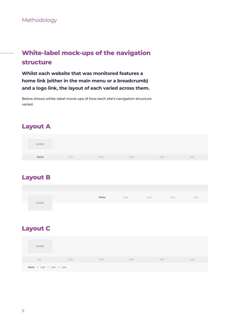Methodology

# **White-label mock-ups of the navigation structure**

**Whilst each website that was monitored features a home link (either in the main menu or a breadcrumb) and a logo link, the layout of each varied across them.**

Below shows white-label mock-ups of how each site's navigation structure varied.

#### **Layout A**

| LOGO |      |      |      |      |      |
|------|------|------|------|------|------|
| Home | Link | Link | Link | Link | Link |

#### **Layout B**

|      | Home | Link <b>Communist Communist Communist Communist Communist Communist Communist Communist Communist Communist Communist Communist Communist Communist Communist Communist Communist Communist Communist Communist Communist Commun</b> | <b>Link Communist Communist Property</b> | Link | Link |
|------|------|--------------------------------------------------------------------------------------------------------------------------------------------------------------------------------------------------------------------------------------|------------------------------------------|------|------|
| LOGO |      |                                                                                                                                                                                                                                      |                                          |      |      |
|      |      |                                                                                                                                                                                                                                      |                                          |      |      |
|      |      |                                                                                                                                                                                                                                      |                                          |      |      |

### **Layout C**

| <b>LOGO</b>                            |      |      |      |      |      |
|----------------------------------------|------|------|------|------|------|
| Link                                   | Link | Link | Link | Link | Link |
| <b>Home</b> $>$ Link $>$ Link $>$ Link |      |      |      |      |      |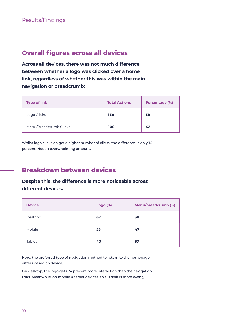#### **Overall figures across all devices**

**Across all devices, there was not much difference between whether a logo was clicked over a home link, regardless of whether this was within the main navigation or breadcrumb:** 

| <b>Type of link</b>    | <b>Total Actions</b> | Percentage (%) |
|------------------------|----------------------|----------------|
| Logo Clicks            | 838                  | 58             |
| Menu/Breadcrumb Clicks | 606                  | 42             |

Whilst logo clicks do get a higher number of clicks, the difference is only 16 percent. Not an overwhelming amount.

#### **Breakdown between devices**

#### **Despite this, the difference is more noticeable across different devices.**

| <b>Device</b> | <b>Logo (%)</b> | Menu/breadcrumb (%) |
|---------------|-----------------|---------------------|
| Desktop       | 62              | 38                  |
| Mobile        | 53              | 47                  |
| Tablet        | 43              | 57                  |

Here, the preferred type of navigation method to return to the homepage differs based on device.

On desktop, the logo gets 24 precent more interaction than the navigation links. Meanwhile, on mobile & tablet devices, this is split is more evenly.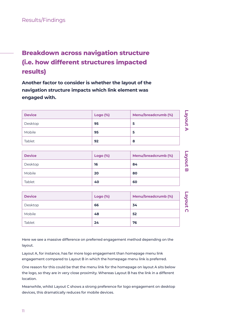# **Breakdown across navigation structure (i.e. how different structures impacted results)**

**Another factor to consider is whether the layout of the navigation structure impacts which link element was engaged with.**

| <b>Device</b> | <b>Logo (%)</b> | Menu/breadcrumb (%) |  |
|---------------|-----------------|---------------------|--|
| Desktop       | 95              | 5                   |  |
| Mobile        | 95              | 5                   |  |
| <b>Tablet</b> | 92              | 8                   |  |

| <b>Device</b> | <b>Logo (%)</b> | Menu/breadcrumb (%) | ഇ |
|---------------|-----------------|---------------------|---|
| Desktop       | 16              | 84                  | ≒ |
| <b>Mobile</b> | 20              | 80                  | π |
| Tablet        | 40              | 60                  |   |

| <b>Device</b> | <b>Logo</b> (%) | Menu/breadcrumb (%) | ஜ |
|---------------|-----------------|---------------------|---|
| Desktop       | 66              | 34                  | ≽ |
| <b>Mobile</b> | 48              | 52                  | n |
| Tablet        | 24              | 76                  |   |

Here we see a massive difference on preferred engagement method depending on the layout.

Layout A, for instance, has far more logo engagement than homepage menu link engagement compared to Layout B in which the homepage menu link is preferred.

One reason for this could be that the menu link for the homepage on layout A sits below the logo, so they are in very close proximity. Whereas Layout B has the link in a different location.

Meanwhile, whilst Layout C shows a strong preference for logo engagement on desktop devices, this dramatically reduces for mobile devices.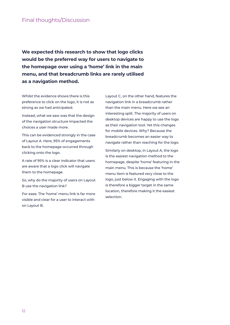**We expected this research to show that logo clicks would be the preferred way for users to navigate to the homepage over using a 'home' link in the main menu, and that breadcrumb links are rarely utilised as a navigation method.**

Whilst the evidence shows there is this preference to click on the logo, it is not as strong as we had anticipated.

Instead, what we saw was that the design of the navigation structure impacted the choices a user made more.

This can be evidenced strongly in the case of Layout A. Here, 95% of engagements back to the homepage occurred through clicking onto the logo.

A rate of 95% is a clear indicator that users are aware that a logo click will navigate them to the homepage.

So, why do the majority of users on Layout B use the navigation link?

For ease. The 'home' menu link is far more visible and clear for a user to interact with on Layout B.

Layout C, on the other hand, features the navigation link in a breadcrumb rather than the main menu. Here we see an interesting split. The majority of users on desktop devices are happy to use the logo as their navigation tool. Yet this changes for mobile devices. Why? Because the breadcrumb becomes an easier way to navigate rather than reaching for the logo.

Similarly on desktop, in Layout A, the logo is the easiest navigation method to the homepage, despite 'home' featuring in the main menu. This is because the 'home' menu item is featured very close to the logo, just below it. Engaging with the logo is therefore a bigger target in the same location, therefore making it the easiest selection.